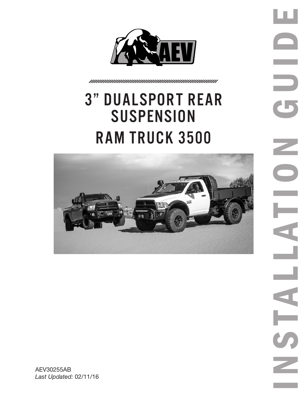

# 3" Dualsport rear **SUSPENSION** ram truck 3500

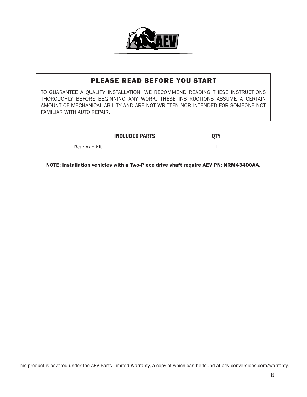

### PLEASE READ BEFORE YOU START

TO GUARANTEE A QUALITY INSTALLATION, WE RECOMMEND READING THESE INSTRUCTIONS THOROUGHLY BEFORE BEGINNING ANY WORK. THESE INSTRUCTIONS ASSUME A CERTAIN AMOUNT OF MECHANICAL ABILITY AND ARE NOT WRITTEN NOR INTENDED FOR SOMEONE NOT FAMILIAR WITH AUTO REPAIR.

#### INCLUDED PARTS **QTY**

Rear Axle Kit 1 and 1 and 1 and 1 and 1 and 1 and 1 and 1 and 1 and 1 and 1 and 1 and 1 and 1 and 1 and 1 and 1

NOTE: Installation vehicles with a Two-Piece drive shaft require AEV PN: NRM43400AA.

This product is covered under the AEV Parts Limited Warranty, a copy of which can be found at aev-conversions.com/warranty.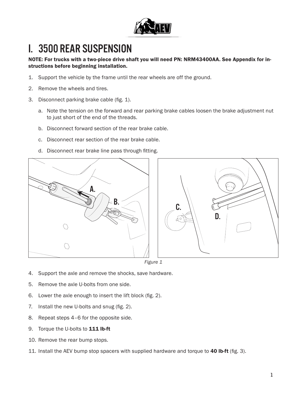

# I. 3500 Rear Suspension

NOTE: For trucks with a two-piece drive shaft you will need PN: NRM43400AA. See Appendix for instructions before beginning installation.

- 1. Support the vehicle by the frame until the rear wheels are off the ground.
- 2. Remove the wheels and tires.
- 3. Disconnect parking brake cable (fig. 1).
	- a. Note the tension on the forward and rear parking brake cables loosen the brake adjustment nut to just short of the end of the threads.
	- b. Disconnect forward section of the rear brake cable.
	- c. Disconnect rear section of the rear brake cable.
	- d. Disconnect rear brake line pass through fitting.



*Figure 1*

- 4. Support the axle and remove the shocks, save hardware.
- 5. Remove the axle U-bolts from one side.
- 6. Lower the axle enough to insert the lift block (fig. 2).
- 7. Install the new U-bolts and snug (fig. 2).
- 8. Repeat steps 4–6 for the opposite side.
- 9. Torque the U-bolts to 111 lb-ft
- 10. Remove the rear bump stops.
- 11. Install the AEV bump stop spacers with supplied hardware and torque to 40 lb-ft (fig. 3).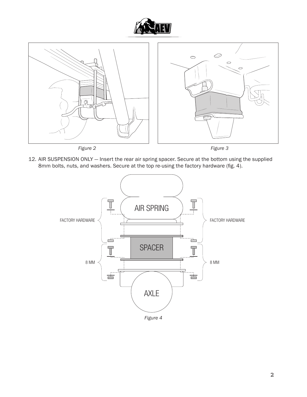



12. AIR SUSPENSION ONLY — Insert the rear air spring spacer. Secure at the bottom using the supplied 8mm bolts, nuts, and washers. Secure at the top re-using the factory hardware (fig. 4).



*Figure 4*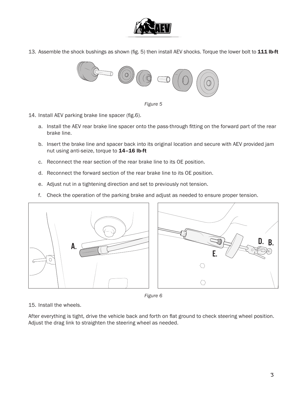

13. Assemble the shock bushings as shown (fig. 5) then install AEV shocks. Torque the lower bolt to 111 lb-ft





- 14. Install AEV parking brake line spacer (fig.6).
	- a. Install the AEV rear brake line spacer onto the pass-through fitting on the forward part of the rear brake line.
	- b. Insert the brake line and spacer back into its original location and secure with AEV provided jam nut using anti-seize, torque to 14-16 lb-ft
	- c. Reconnect the rear section of the rear brake line to its OE position.
	- d. Reconnect the forward section of the rear brake line to its OE position.
	- e. Adjust nut in a tightening direction and set to previously not tension.
	- f. Check the operation of the parking brake and adjust as needed to ensure proper tension.



*Figure 6*

15. Install the wheels.

After everything is tight, drive the vehicle back and forth on flat ground to check steering wheel position. Adjust the drag link to straighten the steering wheel as needed.